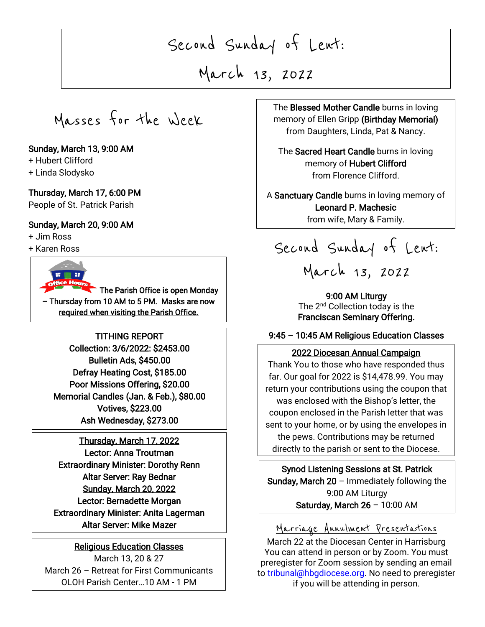# Second Sunday of Lent:

March 13, 2022

j

Masses for the Week

### Sunday, March 13, 9:00 AM

- + Hubert Clifford
- + Linda Slodysko

#### Thursday, March 17, 6:00 PM

People of St. Patrick Parish

### Sunday, March 20, 9:00 AM

+ Jim Ross

+ Karen Ross



The Parish Office is open Monday – Thursday from 10 AM to 5 PM. Masks are now required when visiting the Parish Office.

TITHING REPORT Collection: 3/6/2022: \$2453.00 Bulletin Ads, \$450.00 Defray Heating Cost, \$185.00 Poor Missions Offering, \$20.00 Memorial Candles (Jan. & Feb.), \$80.00 Votives, \$223.00 Ash Wednesday, \$273.00

Thursday, March 17, 2022 Lector: Anna Troutman Extraordinary Minister: Dorothy Renn Altar Server: Ray Bednar Sunday, March 20, 2022 Lector: Bernadette Morgan Extraordinary Minister: Anita Lagerman Altar Server: Mike Mazer

#### Religious Education Classes

March 13, 20 & 27 March 26 – Retreat for First Communicants OLOH Parish Center…10 AM - 1 PM

 $\begin{array}{ccc} \hline \end{array}$ The Blessed Mother Candle burns in loving memory of Ellen Gripp (Birthday Memorial) from Daughters, Linda, Pat & Nancy.

> The Sacred Heart Candle burns in loving memory of Hubert Clifford from Florence Clifford.

Leonard P. Machesic A Sanctuary Candle burns in loving memory of from wife, Mary & Family.

Second Sunday of Lent:

# March 13, 2022

9:00 AM Liturgy The 2<sup>nd</sup> Collection today is the Franciscan Seminary Offering.

### 9:45 – 10:45 AM Religious Education Classes

### 2022 Diocesan Annual Campaign

 far. Our goal for 2022 is \$14,478.99. You may return your contributions using the coupon that coupon enclosed in the Parish letter that was  $\overline{\phantom{a}}$ Thank You to those who have responded thus was enclosed with the Bishop's letter, the sent to your home, or by using the envelopes in the pews. Contributions may be returned directly to the parish or sent to the Diocese.

Sunday, March 20 – Immediately following the Synod Listening Sessions at St. Patrick 9:00 AM Liturgy Saturday, March  $26 - 10:00$  AM

### Marriage Annulment Presentations

March 22 at the Diocesan Center in Harrisburg You can attend in person or by Zoom. You must preregister for Zoom session by sending an email t[o tribunal@hbgdiocese.org.](mailto:tribunal@hbgdiocese.org) No need to preregister if you will be attending in person.